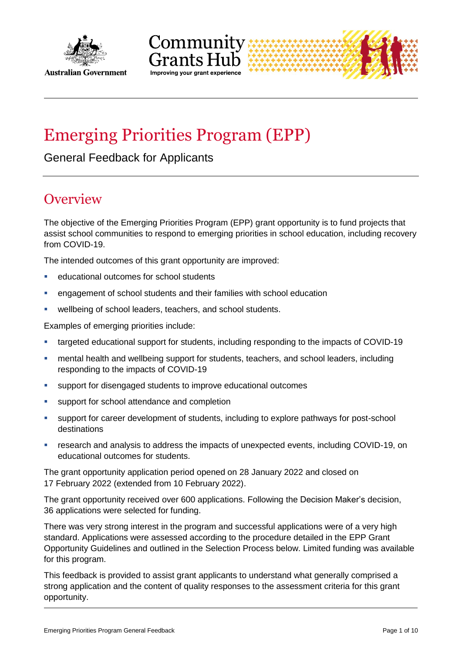



# Emerging Priorities Program (EPP)

General Feedback for Applicants

## **Overview**

The objective of the Emerging Priorities Program (EPP) grant opportunity is to fund projects that assist school communities to respond to emerging priorities in school education, including recovery from COVID-19.

The intended outcomes of this grant opportunity are improved:

- educational outcomes for school students
- engagement of school students and their families with school education
- wellbeing of school leaders, teachers, and school students.

Examples of emerging priorities include:

- targeted educational support for students, including responding to the impacts of COVID-19
- mental health and wellbeing support for students, teachers, and school leaders, including responding to the impacts of COVID-19
- support for disengaged students to improve educational outcomes
- **support for school attendance and completion**
- support for career development of students, including to explore pathways for post-school destinations
- research and analysis to address the impacts of unexpected events, including COVID-19, on educational outcomes for students.

The grant opportunity application period opened on 28 January 2022 and closed on 17 February 2022 (extended from 10 February 2022).

The grant opportunity received over 600 applications. Following the Decision Maker's decision, 36 applications were selected for funding.

There was very strong interest in the program and successful applications were of a very high standard. Applications were assessed according to the procedure detailed in the EPP Grant Opportunity Guidelines and outlined in the Selection Process below. Limited funding was available for this program.

This feedback is provided to assist grant applicants to understand what generally comprised a strong application and the content of quality responses to the assessment criteria for this grant opportunity.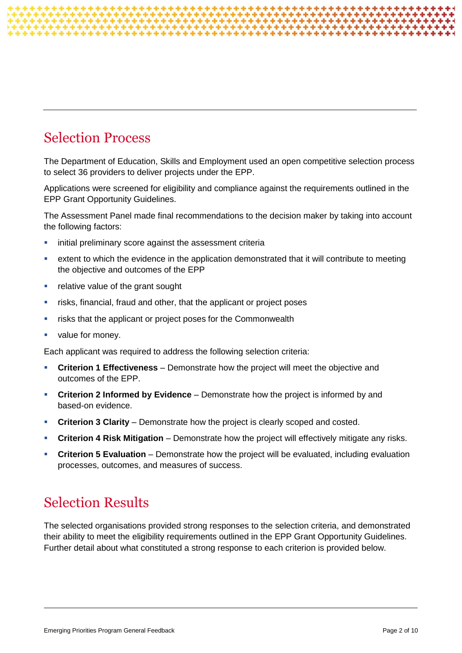## Selection Process

The Department of Education, Skills and Employment used an open competitive selection process to select 36 providers to deliver projects under the EPP.

Applications were screened for eligibility and compliance against the requirements outlined in the EPP Grant Opportunity Guidelines.

The Assessment Panel made final recommendations to the decision maker by taking into account the following factors:

- **EXEDENT Initial preliminary score against the assessment criterial**
- extent to which the evidence in the application demonstrated that it will contribute to meeting the objective and outcomes of the EPP
- **F** relative value of the grant sought
- risks, financial, fraud and other, that the applicant or project poses
- **F** risks that the applicant or project poses for the Commonwealth
- value for money.

Each applicant was required to address the following selection criteria:

- **Criterion 1 Effectiveness** Demonstrate how the project will meet the objective and outcomes of the EPP.
- **Criterion 2 Informed by Evidence** Demonstrate how the project is informed by and based-on evidence.
- **Criterion 3 Clarity** Demonstrate how the project is clearly scoped and costed.
- **Criterion 4 Risk Mitigation** Demonstrate how the project will effectively mitigate any risks.
- **Criterion 5 Evaluation** Demonstrate how the project will be evaluated, including evaluation processes, outcomes, and measures of success.

## Selection Results

The selected organisations provided strong responses to the selection criteria, and demonstrated their ability to meet the eligibility requirements outlined in the EPP Grant Opportunity Guidelines. Further detail about what constituted a strong response to each criterion is provided below.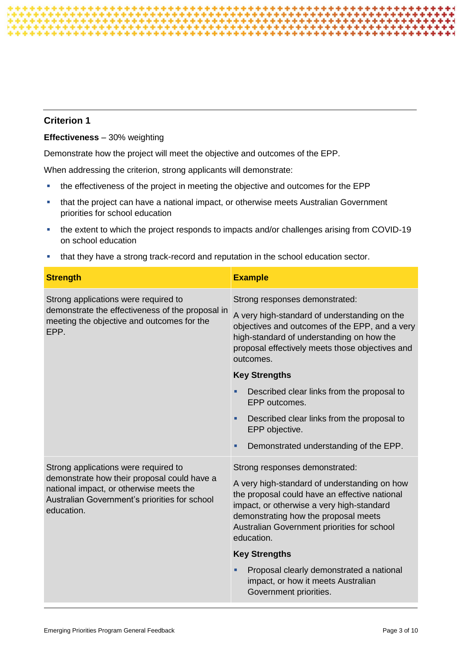### **Effectiveness** – 30% weighting

Demonstrate how the project will meet the objective and outcomes of the EPP.

When addressing the criterion, strong applicants will demonstrate:

- the effectiveness of the project in meeting the objective and outcomes for the EPP
- that the project can have a national impact, or otherwise meets Australian Government priorities for school education
- the extent to which the project responds to impacts and/or challenges arising from COVID-19 on school education
- that they have a strong track-record and reputation in the school education sector.

| <b>Strength</b>                                                                                                                                                                               | <b>Example</b>                                                                                                                                                                                                                                                                    |
|-----------------------------------------------------------------------------------------------------------------------------------------------------------------------------------------------|-----------------------------------------------------------------------------------------------------------------------------------------------------------------------------------------------------------------------------------------------------------------------------------|
| Strong applications were required to<br>demonstrate the effectiveness of the proposal in<br>meeting the objective and outcomes for the<br>EPP.                                                | Strong responses demonstrated:                                                                                                                                                                                                                                                    |
|                                                                                                                                                                                               | A very high-standard of understanding on the<br>objectives and outcomes of the EPP, and a very<br>high-standard of understanding on how the<br>proposal effectively meets those objectives and<br>outcomes.                                                                       |
|                                                                                                                                                                                               | <b>Key Strengths</b>                                                                                                                                                                                                                                                              |
|                                                                                                                                                                                               | Described clear links from the proposal to<br>٠<br>EPP outcomes.                                                                                                                                                                                                                  |
|                                                                                                                                                                                               | Described clear links from the proposal to<br>٠<br>EPP objective.                                                                                                                                                                                                                 |
|                                                                                                                                                                                               | Demonstrated understanding of the EPP.<br>٠                                                                                                                                                                                                                                       |
| Strong applications were required to<br>demonstrate how their proposal could have a<br>national impact, or otherwise meets the<br>Australian Government's priorities for school<br>education. | Strong responses demonstrated:<br>A very high-standard of understanding on how<br>the proposal could have an effective national<br>impact, or otherwise a very high-standard<br>demonstrating how the proposal meets<br>Australian Government priorities for school<br>education. |
|                                                                                                                                                                                               | <b>Key Strengths</b>                                                                                                                                                                                                                                                              |
|                                                                                                                                                                                               | Proposal clearly demonstrated a national<br>impact, or how it meets Australian<br>Government priorities.                                                                                                                                                                          |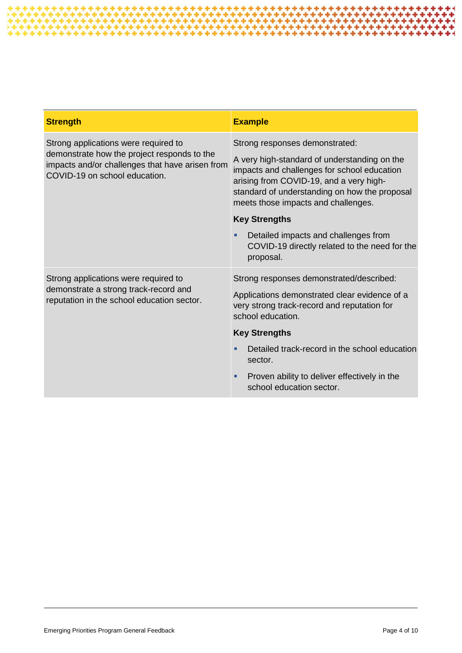| <b>Strength</b>                                                                                                                                                         | <b>Example</b>                                                                                                                                                                                                                                                   |
|-------------------------------------------------------------------------------------------------------------------------------------------------------------------------|------------------------------------------------------------------------------------------------------------------------------------------------------------------------------------------------------------------------------------------------------------------|
| Strong applications were required to<br>demonstrate how the project responds to the<br>impacts and/or challenges that have arisen from<br>COVID-19 on school education. | Strong responses demonstrated:<br>A very high-standard of understanding on the<br>impacts and challenges for school education<br>arising from COVID-19, and a very high-<br>standard of understanding on how the proposal<br>meets those impacts and challenges. |
|                                                                                                                                                                         | <b>Key Strengths</b>                                                                                                                                                                                                                                             |
|                                                                                                                                                                         | Detailed impacts and challenges from<br>٠<br>COVID-19 directly related to the need for the<br>proposal.                                                                                                                                                          |
| Strong applications were required to<br>demonstrate a strong track-record and<br>reputation in the school education sector.                                             | Strong responses demonstrated/described:<br>Applications demonstrated clear evidence of a<br>very strong track-record and reputation for<br>school education.                                                                                                    |
|                                                                                                                                                                         | <b>Key Strengths</b>                                                                                                                                                                                                                                             |
|                                                                                                                                                                         | Detailed track-record in the school education<br>sector.                                                                                                                                                                                                         |
|                                                                                                                                                                         | Proven ability to deliver effectively in the<br>٠<br>school education sector.                                                                                                                                                                                    |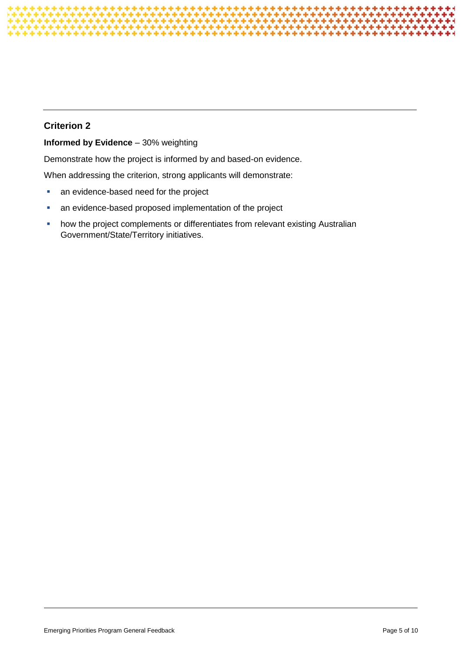### **Informed by Evidence** – 30% weighting

Demonstrate how the project is informed by and based-on evidence.

When addressing the criterion, strong applicants will demonstrate:

- **an evidence-based need for the project**
- **an evidence-based proposed implementation of the project**
- **•** how the project complements or differentiates from relevant existing Australian Government/State/Territory initiatives.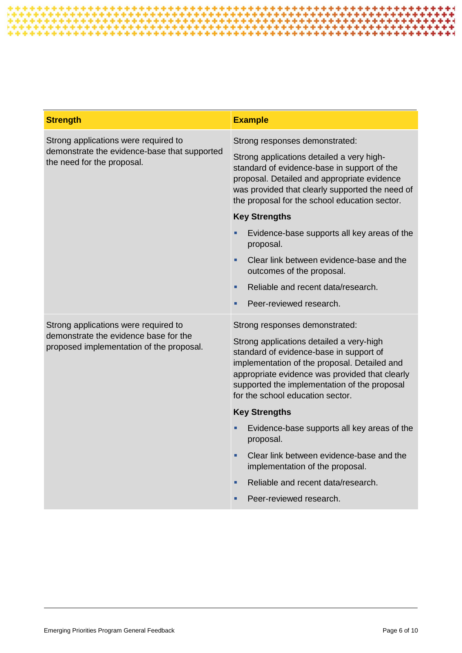| <b>Strength</b>                                                                                                           | <b>Example</b>                                                                                                                                                                                                                                                                                              |
|---------------------------------------------------------------------------------------------------------------------------|-------------------------------------------------------------------------------------------------------------------------------------------------------------------------------------------------------------------------------------------------------------------------------------------------------------|
| Strong applications were required to<br>demonstrate the evidence-base that supported<br>the need for the proposal.        | Strong responses demonstrated:                                                                                                                                                                                                                                                                              |
|                                                                                                                           | Strong applications detailed a very high-<br>standard of evidence-base in support of the<br>proposal. Detailed and appropriate evidence<br>was provided that clearly supported the need of<br>the proposal for the school education sector.                                                                 |
|                                                                                                                           | <b>Key Strengths</b>                                                                                                                                                                                                                                                                                        |
|                                                                                                                           | Evidence-base supports all key areas of the<br>proposal.                                                                                                                                                                                                                                                    |
|                                                                                                                           | Clear link between evidence-base and the<br>a.<br>outcomes of the proposal.                                                                                                                                                                                                                                 |
|                                                                                                                           | Reliable and recent data/research.<br>٠                                                                                                                                                                                                                                                                     |
|                                                                                                                           | Peer-reviewed research.<br>u,                                                                                                                                                                                                                                                                               |
| Strong applications were required to<br>demonstrate the evidence base for the<br>proposed implementation of the proposal. | Strong responses demonstrated:<br>Strong applications detailed a very-high<br>standard of evidence-base in support of<br>implementation of the proposal. Detailed and<br>appropriate evidence was provided that clearly<br>supported the implementation of the proposal<br>for the school education sector. |
|                                                                                                                           | <b>Key Strengths</b>                                                                                                                                                                                                                                                                                        |
|                                                                                                                           | Evidence-base supports all key areas of the<br>proposal.                                                                                                                                                                                                                                                    |
|                                                                                                                           | Clear link between evidence-base and the<br>×.<br>implementation of the proposal.                                                                                                                                                                                                                           |
|                                                                                                                           | Reliable and recent data/research.<br>٠                                                                                                                                                                                                                                                                     |
|                                                                                                                           | Peer-reviewed research.<br>٠                                                                                                                                                                                                                                                                                |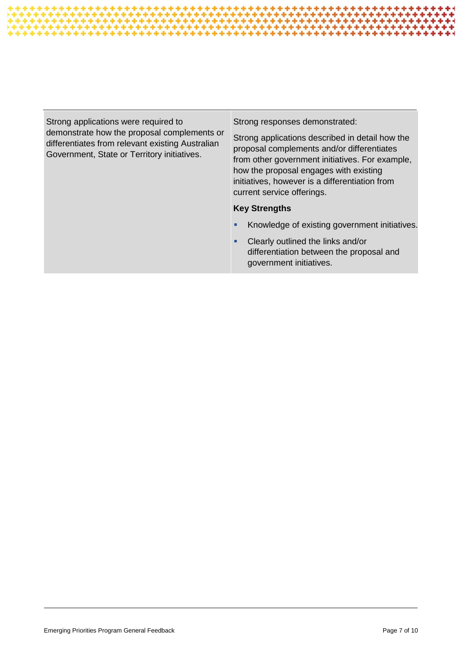

Strong applications were required to demonstrate how the proposal complements or differentiates from relevant existing Australian Government, State or Territory initiatives. Strong responses demonstrated: Strong applications described in detail how the proposal complements and/or differentiates from other government initiatives. For example, how the proposal engages with existing initiatives, however is a differentiation from current service offerings. **Key Strengths** Knowledge of existing government initiatives. Clearly outlined the links and/or differentiation between the proposal and government initiatives.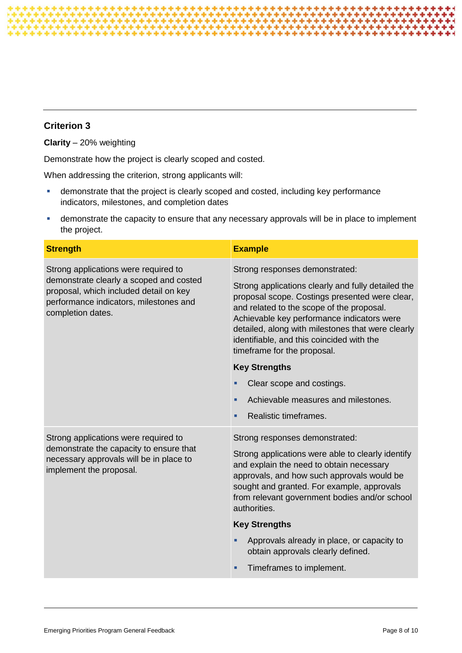**Clarity** – 20% weighting

Demonstrate how the project is clearly scoped and costed.

When addressing the criterion, strong applicants will:

- demonstrate that the project is clearly scoped and costed, including key performance indicators, milestones, and completion dates
- demonstrate the capacity to ensure that any necessary approvals will be in place to implement the project.

| <b>Strength</b>                                                                                                                                                                          | <b>Example</b>                                                                                                                                                                                                                                                                                                                   |
|------------------------------------------------------------------------------------------------------------------------------------------------------------------------------------------|----------------------------------------------------------------------------------------------------------------------------------------------------------------------------------------------------------------------------------------------------------------------------------------------------------------------------------|
| Strong applications were required to<br>demonstrate clearly a scoped and costed<br>proposal, which included detail on key<br>performance indicators, milestones and<br>completion dates. | Strong responses demonstrated:                                                                                                                                                                                                                                                                                                   |
|                                                                                                                                                                                          | Strong applications clearly and fully detailed the<br>proposal scope. Costings presented were clear,<br>and related to the scope of the proposal.<br>Achievable key performance indicators were<br>detailed, along with milestones that were clearly<br>identifiable, and this coincided with the<br>timeframe for the proposal. |
|                                                                                                                                                                                          | <b>Key Strengths</b>                                                                                                                                                                                                                                                                                                             |
|                                                                                                                                                                                          | Clear scope and costings.                                                                                                                                                                                                                                                                                                        |
|                                                                                                                                                                                          | Achievable measures and milestones.<br>٠                                                                                                                                                                                                                                                                                         |
|                                                                                                                                                                                          | Realistic timeframes.<br>٠                                                                                                                                                                                                                                                                                                       |
| Strong applications were required to<br>demonstrate the capacity to ensure that<br>necessary approvals will be in place to<br>implement the proposal.                                    | Strong responses demonstrated:<br>Strong applications were able to clearly identify<br>and explain the need to obtain necessary<br>approvals, and how such approvals would be<br>sought and granted. For example, approvals<br>from relevant government bodies and/or school<br>authorities.                                     |
|                                                                                                                                                                                          | <b>Key Strengths</b>                                                                                                                                                                                                                                                                                                             |
|                                                                                                                                                                                          | Approvals already in place, or capacity to<br>٠<br>obtain approvals clearly defined.                                                                                                                                                                                                                                             |
|                                                                                                                                                                                          | Timeframes to implement.<br>٠                                                                                                                                                                                                                                                                                                    |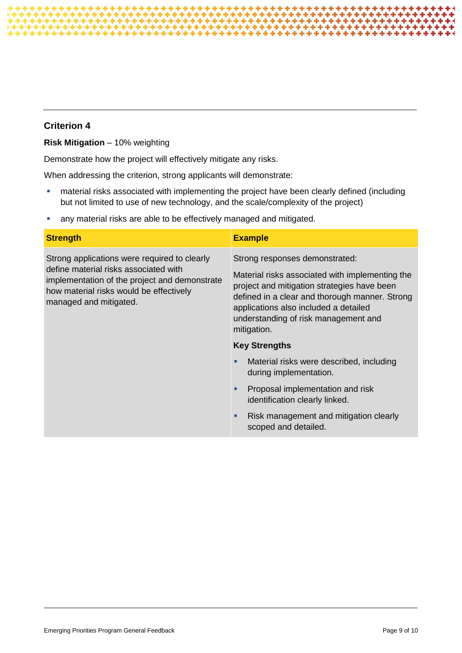**Risk Mitigation** – 10% weighting

Demonstrate how the project will effectively mitigate any risks.

When addressing the criterion, strong applicants will demonstrate:

- **•** material risks associated with implementing the project have been clearly defined (including but not limited to use of new technology, and the scale/complexity of the project)
- **any material risks are able to be effectively managed and mitigated.**

| <b>Strength</b>                                                                                                                                                                                             | <b>Example</b>                                                                                                                                                                                                                                                                     |
|-------------------------------------------------------------------------------------------------------------------------------------------------------------------------------------------------------------|------------------------------------------------------------------------------------------------------------------------------------------------------------------------------------------------------------------------------------------------------------------------------------|
| Strong applications were required to clearly<br>define material risks associated with<br>implementation of the project and demonstrate<br>how material risks would be effectively<br>managed and mitigated. | Strong responses demonstrated:<br>Material risks associated with implementing the<br>project and mitigation strategies have been<br>defined in a clear and thorough manner. Strong<br>applications also included a detailed<br>understanding of risk management and<br>mitigation. |
|                                                                                                                                                                                                             | <b>Key Strengths</b>                                                                                                                                                                                                                                                               |
|                                                                                                                                                                                                             | Material risks were described, including<br>٠<br>during implementation.                                                                                                                                                                                                            |
|                                                                                                                                                                                                             | Proposal implementation and risk<br>٠<br>identification clearly linked.                                                                                                                                                                                                            |
|                                                                                                                                                                                                             | Risk management and mitigation clearly<br>٠<br>scoped and detailed.                                                                                                                                                                                                                |